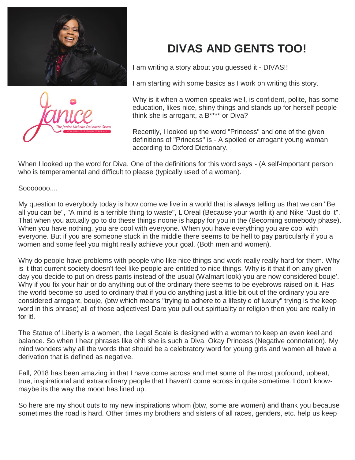



## **DIVAS AND GENTS TOO!**

I am writing a story about you guessed it - DIVAS!!

I am starting with some basics as I work on writing this story.

Why is it when a women speaks well, is confident, polite, has some education, likes nice, shiny things and stands up for herself people think she is arrogant, a B\*\*\*\* or Diva?

Recently, I looked up the word "Princess" and one of the given definitions of "Princess" is - A spoiled or arrogant young woman according to Oxford Dictionary.

When I looked up the word for Diva. One of the definitions for this word says - (A self-important person who is temperamental and difficult to please (typically used of a woman).

Sooooooo....

My question to everybody today is how come we live in a world that is always telling us that we can "Be all you can be", "A mind is a terrible thing to waste", L'Oreal (Because your worth it) and Nike "Just do it". That when you actually go to do these things noone is happy for you in the (Becoming somebody phase). When you have nothing, you are cool with everyone. When you have everything you are cool with everyone. But if you are someone stuck in the middle there seems to be hell to pay particularly if you a women and some feel you might really achieve your goal. (Both men and women).

Why do people have problems with people who like nice things and work really really hard for them. Why is it that current society doesn't feel like people are entitled to nice things. Why is it that if on any given day you decide to put on dress pants instead of the usual (Walmart look) you are now considered bouje'. Why if you fix your hair or do anything out of the ordinary there seems to be eyebrows raised on it. Has the world become so used to ordinary that if you do anything just a little bit out of the ordinary you are considered arrogant, bouje, (btw which means "trying to adhere to a lifestyle of luxury" trying is the keep word in this phrase) all of those adjectives! Dare you pull out spirituality or religion then you are really in for it!.

The Statue of Liberty is a women, the Legal Scale is designed with a woman to keep an even keel and balance. So when I hear phrases like ohh she is such a Diva, Okay Princess (Negative connotation). My mind wonders why all the words that should be a celebratory word for young girls and women all have a derivation that is defined as negative.

Fall, 2018 has been amazing in that I have come across and met some of the most profound, upbeat, true, inspirational and extraordinary people that I haven't come across in quite sometime. I don't knowmaybe its the way the moon has lined up.

So here are my shout outs to my new inspirations whom (btw, some are women) and thank you because sometimes the road is hard. Other times my brothers and sisters of all races, genders, etc. help us keep